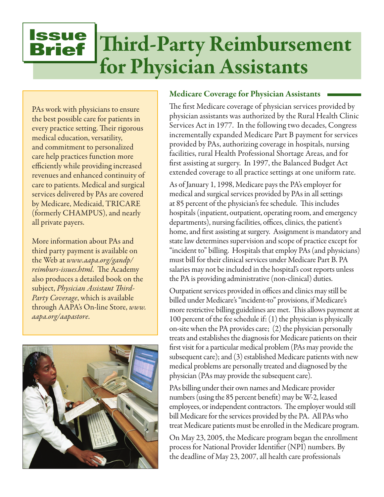# **Issue** Brief Third-Party Reimbursement for Physician Assistants

PAs work with physicians to ensure the best possible care for patients in every practice setting. Their rigorous medical education, versatility, and commitment to personalized care help practices function more efficiently while providing increased revenues and enhanced continuity of care to patients. Medical and surgical services delivered by PAs are covered by Medicare, Medicaid, TRICARE (formerly CHAMPUS), and nearly all private payers.

More information about PAs and third party payment is available on the Web at *www.aapa.org/gandp/ reimburs-issues.html*. The Academy also produces a detailed book on the subject, *Physician Assistant Third-Party Coverage*, which is available through AAPA's On-line Store, *www. aapa.org/aapastore*.



#### Medicare Coverage for Physician Assistants

The first Medicare coverage of physician services provided by physician assistants was authorized by the Rural Health Clinic Services Act in 1977. In the following two decades, Congress incrementally expanded Medicare Part B payment for services provided by PAs, authorizing coverage in hospitals, nursing facilities, rural Health Professional Shortage Areas, and for first assisting at surgery. In 1997, the Balanced Budget Act extended coverage to all practice settings at one uniform rate.

As of January 1, 1998, Medicare pays the PA's employer for medical and surgical services provided by PAs in all settings at 85 percent of the physician's fee schedule. This includes hospitals (inpatient, outpatient, operating room, and emergency departments), nursing facilities, offices, clinics, the patient's home, and first assisting at surgery. Assignment is mandatory and state law determines supervision and scope of practice except for "incident to" billing. Hospitals that employ PAs (and physicians) must bill for their clinical services under Medicare Part B. PA salaries may not be included in the hospital's cost reports unless the PA is providing administrative (non-clinical) duties.

Outpatient services provided in offices and clinics may still be billed under Medicare's "incident-to" provisions, if Medicare's more restrictive billing guidelines are met. This allows payment at 100 percent of the fee schedule if: (1) the physician is physically on-site when the PA provides care; (2) the physician personally treats and establishes the diagnosis for Medicare patients on their first visit for a particular medical problem (PAs may provide the subsequent care); and (3) established Medicare patients with new medical problems are personally treated and diagnosed by the physician (PAs may provide the subsequent care).

PAs billing under their own names and Medicare provider numbers (using the 85 percent benefit) may be W-2, leased employees, or independent contractors. The employer would still bill Medicare for the services provided by the PA. All PAs who treat Medicare patients must be enrolled in the Medicare program.

On May 23, 2005, the Medicare program began the enrollment process for National Provider Identifier (NPI) numbers. By the deadline of May 23, 2007, all health care professionals